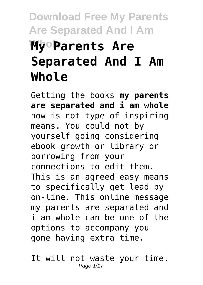# **Download Free My Parents Are Separated And I Am My Parents Are Separated And I Am Whole**

Getting the books **my parents are separated and i am whole** now is not type of inspiring means. You could not by yourself going considering ebook growth or library or borrowing from your connections to edit them. This is an agreed easy means to specifically get lead by on-line. This online message my parents are separated and i am whole can be one of the options to accompany you gone having extra time.

It will not waste your time. Page 1/17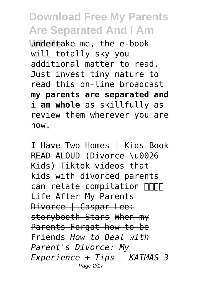**Whdertake me, the e-book** will totally sky you additional matter to read. Just invest tiny mature to read this on-line broadcast **my parents are separated and i am whole** as skillfully as review them wherever you are now.

I Have Two Homes | Kids Book READ ALOUD (Divorce \u0026 Kids) Tiktok videos that kids with divorced parents can relate compilation  $\Box\Box\Box$ Life After My Parents Divorce | Caspar Lee: storybooth Stars When my Parents Forgot how to be Friends *How to Deal with Parent's Divorce: My Experience + Tips | KATMAS 3* Page 2/17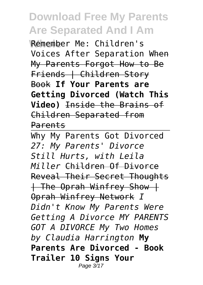**Whole** Remember Me: Children's Voices After Separation When My Parents Forgot How to Be Friends | Children Story Book **If Your Parents are Getting Divorced (Watch This Video)** Inside the Brains of Children Separated from Parents

Why My Parents Got Divorced *27: My Parents' Divorce Still Hurts, with Leila Miller* Children Of Divorce Reveal Their Secret Thoughts | The Oprah Winfrey Show | Oprah Winfrey Network *I Didn't Know My Parents Were Getting A Divorce MY PARENTS GOT A DIVORCE My Two Homes by Claudia Harrington* **My Parents Are Divorced - Book Trailer 10 Signs Your** Page 3/17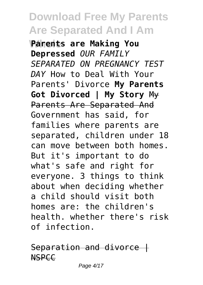**Whole Parents are Making You Depressed** *OUR FAMILY SEPARATED ON PREGNANCY TEST DAY* How to Deal With Your Parents' Divorce **My Parents Got Divorced | My Story** My Parents Are Separated And Government has said, for families where parents are separated, children under 18 can move between both homes. But it's important to do what's safe and right for everyone. 3 things to think about when deciding whether a child should visit both homes are: the children's health. whether there's risk of infection.

 $Separation$  and divorce  $\ddagger$ **NSPCC**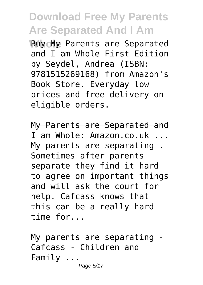**Buy My Parents are Separated** and I am Whole First Edition by Seydel, Andrea (ISBN: 9781515269168) from Amazon's Book Store. Everyday low prices and free delivery on eligible orders.

My Parents are Separated and I am Whole: Amazon.co.uk ... My parents are separating . Sometimes after parents separate they find it hard to agree on important things and will ask the court for help. Cafcass knows that this can be a really hard time for...

My parents are separating -Cafcass - Children and Family ... Page 5/17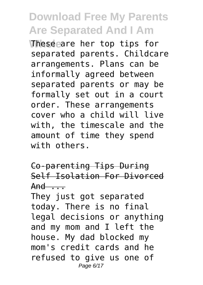**These are her top tips for** separated parents. Childcare arrangements. Plans can be informally agreed between separated parents or may be formally set out in a court order. These arrangements cover who a child will live with, the timescale and the amount of time they spend with others.

Co-parenting Tips During Self Isolation For Divorced  $And \n$ ...

They just got separated today. There is no final legal decisions or anything and my mom and I left the house. My dad blocked my mom's credit cards and he refused to give us one of Page 6/17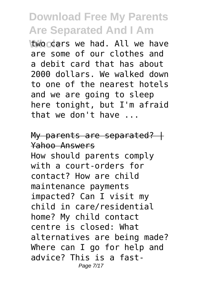**Woccars we had. All we have** are some of our clothes and a debit card that has about 2000 dollars. We walked down to one of the nearest hotels and we are going to sleep here tonight, but I'm afraid that we don't have ...

My parents are separated?  $+$ Yahoo Answers How should parents comply with a court-orders for contact? How are child maintenance payments impacted? Can I visit my child in care/residential home? My child contact centre is closed: What alternatives are being made? Where can I go for help and advice? This is a fast-Page 7/17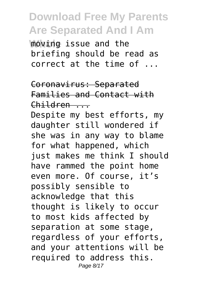**Whole** moving issue and the briefing should be read as correct at the time of ...

Coronavirus: Separated Families and Contact with Children ...

Despite my best efforts, my daughter still wondered if she was in any way to blame for what happened, which just makes me think I should have rammed the point home even more. Of course, it's possibly sensible to acknowledge that this thought is likely to occur to most kids affected by separation at some stage, regardless of your efforts, and your attentions will be required to address this. Page 8/17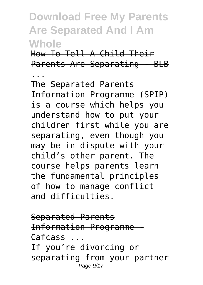How To Tell A Child Their Parents Are Separating - BLB

...

The Separated Parents Information Programme (SPIP) is a course which helps you understand how to put your children first while you are separating, even though you may be in dispute with your child's other parent. The course helps parents learn the fundamental principles of how to manage conflict and difficulties.

Separated Parents Information Programme Cafcass ... If you're divorcing or separating from your partner Page  $9/17$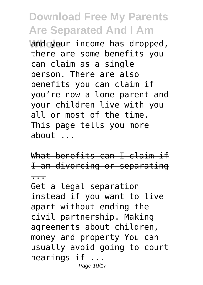and your income has dropped, there are some benefits you can claim as a single person. There are also benefits you can claim if you're now a lone parent and your children live with you all or most of the time. This page tells you more about ...

What benefits can I claim if I am divorcing or separating

...

Get a legal separation instead if you want to live apart without ending the civil partnership. Making agreements about children, money and property You can usually avoid going to court hearings if ... Page 10/17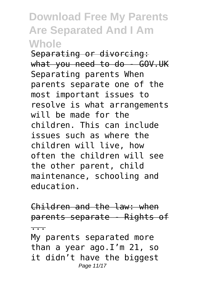Separating or divorcing: what you need to do - GOV.UK Separating parents When parents separate one of the most important issues to resolve is what arrangements will be made for the children. This can include issues such as where the children will live, how often the children will see the other parent, child maintenance, schooling and education.

Children and the law: when parents separate - Rights of ...

My parents separated more than a year ago.I'm 21, so it didn't have the biggest Page 11/17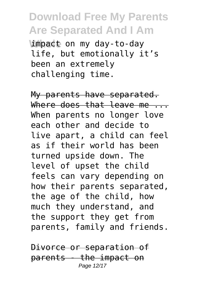impact on my day-to-day life, but emotionally it's been an extremely challenging time.

My parents have separated. Where does that leave me... When parents no longer love each other and decide to live apart, a child can feel as if their world has been turned upside down. The level of upset the child feels can vary depending on how their parents separated, the age of the child, how much they understand, and the support they get from parents, family and friends.

Divorce or separation of parents - the impact on Page 12/17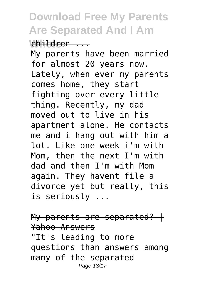**Whole** children ...

My parents have been married for almost 20 years now. Lately, when ever my parents comes home, they start fighting over every little thing. Recently, my dad moved out to live in his apartment alone. He contacts me and i hang out with him a lot. Like one week i'm with Mom, then the next I'm with dad and then I'm with Mom again. They havent file a divorce yet but really, this is seriously ...

My parents are separated?  $+$ Yahoo Answers "It's leading to more questions than answers among many of the separated Page 13/17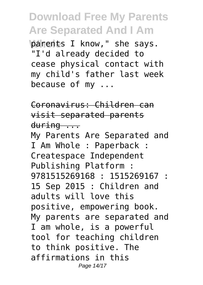parents I know," she says. "I'd already decided to cease physical contact with my child's father last week because of my ...

Coronavirus: Children can visit separated parents during ...

My Parents Are Separated and I Am Whole : Paperback : Createspace Independent Publishing Platform : 9781515269168 : 1515269167 : 15 Sep 2015 : Children and adults will love this positive, empowering book. My parents are separated and I am whole, is a powerful tool for teaching children to think positive. The affirmations in this Page 14/17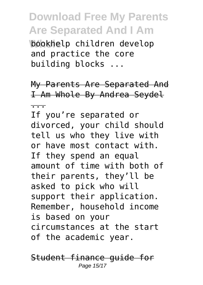**Whole** bookhelp children develop and practice the core building blocks ...

My Parents Are Separated And I Am Whole By Andrea Seydel

... If you're separated or divorced, your child should tell us who they live with or have most contact with. If they spend an equal amount of time with both of their parents, they'll be asked to pick who will support their application. Remember, household income is based on your circumstances at the start of the academic year.

Student finance guide for Page 15/17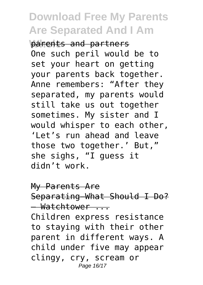**Parents and partners** One such peril would be to set your heart on getting your parents back together. Anne remembers: "After they separated, my parents would still take us out together sometimes. My sister and I would whisper to each other, 'Let's run ahead and leave those two together.' But," she sighs, "I guess it didn't work.

My Parents Are Separating—What Should I Do? — Watchtower ... Children express resistance to staying with their other parent in different ways. A child under five may appear

clingy, cry, scream or Page 16/17